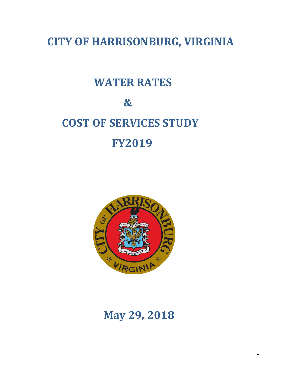**CITY OF HARRISONBURG, VIRGINIA**

# **WATER RATES**

# **& COST OF SERVICES STUDY FY2019**



# **May 29, 2018**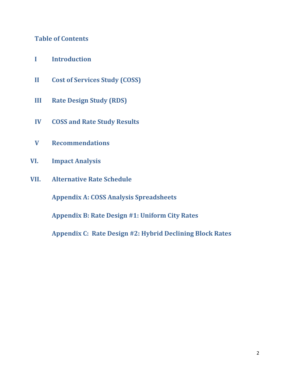# **Table of Contents**

- **I Introduction**
- **II Cost of Services Study (COSS)**
- **III Rate Design Study (RDS)**
- **IV COSS and Rate Study Results**
- **V Recommendations**
- **VI. Impact Analysis**
- **VII. Alternative Rate Schedule**

**Appendix A: COSS Analysis Spreadsheets**

**Appendix B: Rate Design #1: Uniform City Rates**

**Appendix C: Rate Design #2: Hybrid Declining Block Rates**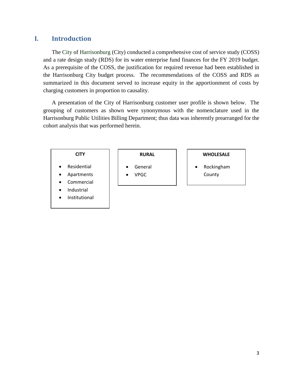# **I. Introduction**

The City of Harrisonburg (City) conducted a comprehensive cost of service study (COSS) and a rate design study (RDS) for its water enterprise fund finances for the FY 2019 budget. As a prerequisite of the COSS, the justification for required revenue had been established in the Harrisonburg City budget process. The recommendations of the COSS and RDS as summarized in this document served to increase equity in the apportionment of costs by charging customers in proportion to causality.

A presentation of the City of Harrisonburg customer user profile is shown below. The grouping of customers as shown were synonymous with the nomenclature used in the Harrisonburg Public Utilities Billing Department; thus data was inherently prearranged for the cohort analysis that was performed herein.

#### **CITY**

- **Residential**
- Apartments
- **Commercial**
- **Industrial**
- **Institutional**

#### **RURAL**

- **General**
- VPGC

#### **WHOLESALE**

• Rockingham County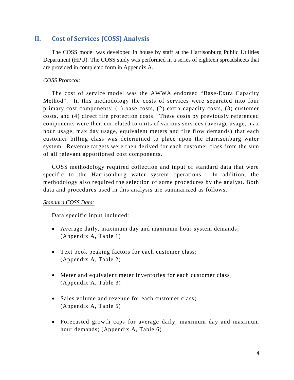# **II. Cost of Services (COSS) Analysis**

The COSS model was developed in house by staff at the Harrisonburg Public Utilities Department (HPU). The COSS study was performed in a series of eighteen spreadsheets that are provided in completed form in Appendix A.

#### *COSS Protocol:*

The cost of service model was the AWWA endorsed "Base-Extra Capacity Method". In this methodology the costs of services were separated into four primary cost components: (1) base costs, (2) extra capacity costs, (3) customer costs, and (4) direct fire protection costs. These costs by previously referenced components were then correlated to units of various services (average usage, max hour usage, max day usage, equivalent meters and fire flow demands) that each customer billing class was determined to place upon the Harrisonburg water system. Revenue targets were then derived for each customer class from the sum of all relevant apportioned cost components.

COSS methodology required collection and input of standard data that were specific to the Harrisonburg water system operations. In addition, the methodology also required the selection of some procedures by the analyst. Both data and procedures used in this analysis are summarized as follows.

#### *Standard COSS Data:*

Data specific input included:

- Average daily, maximum day and maximum hour system demands; (Appendix A, Table 1)
- Text book peaking factors for each customer class; (Appendix A, Table 2)
- Meter and equivalent meter inventories for each customer class; (Appendix A, Table 3)
- Sales volume and revenue for each customer class; (Appendix A, Table 5)
- Forecasted growth caps for average daily, maximum day and maximum hour demands; (Appendix A, Table 6)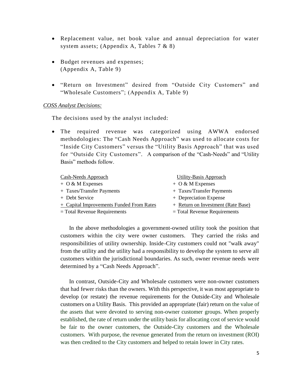- Replacement value, net book value and annual depreciation for water system assets; (Appendix A, Tables 7 & 8)
- Budget revenues and expenses; (Appendix A, Table 9)
- "Return on Investment" desired from "Outside City Customers" and "Wholesale Customers"; (Appendix A, Table 9)

#### *COSS Analyst Decisions:*

The decisions used by the analyst included:

• The required revenue was categorized using AWWA endorsed methodologies: The "Cash Needs Approach" was used to allocate costs for "Inside City Customers" versus the "Utility Basis Approach" that was used for "Outside City Customers". A comparison of the "Cash-Needs" and "Utility Basis" methods follow.

- + O & M Expenses + O & M Expenses
- + Taxes/Transfer Payments + Taxes/Transfer Payments
- 
- + Capital Improvements Funded From Rates + Return on Investment (Rate Base)
- 
- Cash-Needs Approach Utility-Basis Approach
	-
	-
- + Debt Service + Depreciation Expense
	-
- $=$  Total Revenue Requirements  $=$  Total Revenue Requirements

In the above methodologies a government-owned utility took the position that customers within the city were owner customers. They carried the risks and responsibilities of utility ownership. Inside-City customers could not "walk away" from the utility and the utility had a responsibility to develop the system to serve all customers within the jurisdictional boundaries. As such, owner revenue needs were determined by a "Cash Needs Approach".

In contrast, Outside-City and Wholesale customers were non-owner customers that had fewer risks than the owners. With this perspective, it was most appropriate to develop (or restate) the revenue requirements for the Outside-City and Wholesale customers on a Utility Basis. This provided an appropriate (fair) return on the value of the assets that were devoted to serving non-owner customer groups. When properly established, the rate of return under the utility basis for allocating cost of service would be fair to the owner customers, the Outside-City customers and the Wholesale customers. With purpose, the revenue generated from the return on investment (ROI) was then credited to the City customers and helped to retain lower in City rates.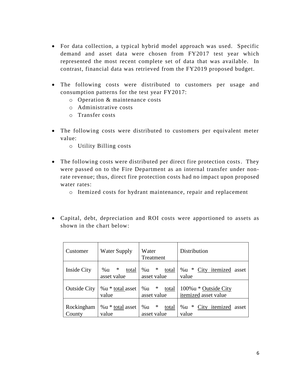- For data collection, a typical hybrid model approach was used. Specific demand and asset data were chosen from FY2017 test year which represented the most recent complete set of data that was available. In contrast, financial data was retrieved from the FY2019 proposed budget.
- The following costs were distributed to customers per usage and consumption patterns for the test year FY2017:
	- o Operation & maintenance costs
	- o Administrative costs
	- o Transfer costs
- The following costs were distributed to customers per equivalent meter value:
	- o Utility Billing costs
- The following costs were distributed per direct fire protection costs. They were passed on to the Fire Department as an internal transfer under nonrate revenue; thus, direct fire protection costs had no impact upon proposed water rates:
	- o Itemized costs for hydrant maintenance, repair and replacement
- Capital, debt, depreciation and ROI costs were apportioned to assets as shown in the chart below:

| Customer             | Water Supply                    | Water<br>Treatment                   | Distribution                                     |
|----------------------|---------------------------------|--------------------------------------|--------------------------------------------------|
| <b>Inside City</b>   | ∗<br>%u<br>total<br>asset value | ∗<br>%u<br>total<br>asset value      | City itemized asset<br>%u *<br>value             |
| <b>Outside City</b>  | %u * total asset<br>value       | $\ast$<br>%u<br>total<br>asset value | $100\%$ u * Outside City<br>itemized asset value |
| Rockingham<br>County | %u * total asset<br>value       | ∗<br>%u<br>total<br>asset value      | ∗<br>City itemized<br>% u<br>asset<br>value      |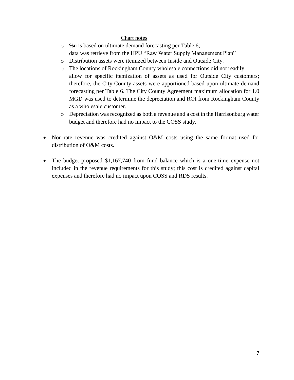#### Chart notes

- o %u is based on ultimate demand forecasting per Table 6; data was retrieve from the HPU "Raw Water Supply Management Plan"
- o Distribution assets were itemized between Inside and Outside City.
- o The locations of Rockingham County wholesale connections did not readily allow for specific itemization of assets as used for Outside City customers; therefore, the City-County assets were apportioned based upon ultimate demand forecasting per Table 6. The City County Agreement maximum allocation for 1.0 MGD was used to determine the depreciation and ROI from Rockingham County as a wholesale customer.
- o Depreciation was recognized as both a revenue and a cost in the Harrisonburg water budget and therefore had no impact to the COSS study.
- Non-rate revenue was credited against O&M costs using the same format used for distribution of O&M costs.
- The budget proposed \$1,167,740 from fund balance which is a one-time expense not included in the revenue requirements for this study; this cost is credited against capital expenses and therefore had no impact upon COSS and RDS results.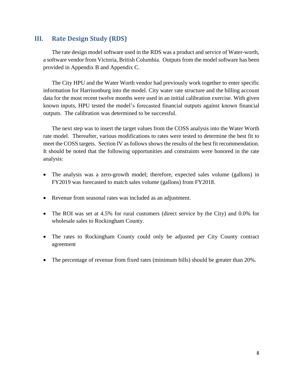# **III. Rate Design Study (RDS)**

The rate design model software used in the RDS was a product and service of Water-worth, a software vendor from Victoria, British Columbia. Outputs from the model software has been provided in Appendix B and Appendix C.

The City HPU and the Water Worth vendor had previously work together to enter specific information for Harrisonburg into the model. City water rate structure and the billing account data for the most recent twelve months were used in an initial calibration exercise. With given known inputs, HPU tested the model's forecasted financial outputs against known financial outputs. The calibration was determined to be successful.

The next step was to insert the target values from the COSS analysis into the Water Worth rate model. Thereafter, various modifications to rates were tested to determine the best fit to meet the COSS targets. Section IV as follows shows the results of the best fit recommendation. It should be noted that the following opportunities and constraints were honored in the rate analysis:

- The analysis was a zero-growth model; therefore, expected sales volume (gallons) in FY2019 was forecasted to match sales volume (gallons) from FY2018.
- Revenue from seasonal rates was included as an adjustment.
- The ROI was set at 4.5% for rural customers (direct service by the City) and 0.0% for wholesale sales to Rockingham County.
- The rates to Rockingham County could only be adjusted per City County contract agreement
- The percentage of revenue from fixed rates (minimum bills) should be greater than 20%.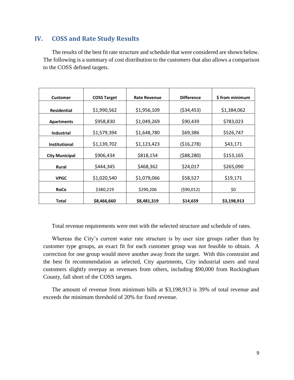# **IV. COSS and Rate Study Results**

The results of the best fit rate structure and schedule that were considered are shown below. The following is a summary of cost distribution to the customers that also allows a comparison to the COSS defined targets.

| <b>Customer</b>       | <b>COSS Target</b> | <b>Rate Revenue</b> | <b>Difference</b> | \$from minimum |
|-----------------------|--------------------|---------------------|-------------------|----------------|
| <b>Residential</b>    | \$1,990,562        | \$1,956,109         | (\$34,453)        | \$1,384,062    |
| <b>Apartments</b>     | \$958,830          | \$1,049,269         | \$90,439          | \$783,023      |
| <b>Industrial</b>     | \$1,579,394        | \$1,648,780         | \$69,386          | \$526,747      |
| <b>Institutional</b>  | \$1,139,702        | \$1,123,423         | (516, 278)        | \$43,171       |
| <b>City Municipal</b> | \$906,434          | \$818,154           | (588, 280)        | \$153,165      |
| <b>Rural</b>          | \$444,345          | \$468,362           | \$24,017          | \$265,090      |
| <b>VPGC</b>           | \$1,020,540        | \$1,079,066         | \$58,527          | \$19,171       |
| <b>RoCo</b>           | \$380,219          | \$290,206           | (590, 012)        | \$0            |
| Total                 | \$8,466,660        | \$8,481,319         | \$14,659          | \$3,198,913    |

Total revenue requirements were met with the selected structure and schedule of rates.

Whereas the City's current water rate structure is by user size groups rather than by customer type groups, an exact fit for each customer group was not feasible to obtain. A correction for one group would move another away from the target. With this constraint and the best fit recommendation as selected, City apartments, City industrial users and rural customers slightly overpay as revenues from others, including \$90,000 from Rockingham County, fall short of the COSS targets.

The amount of revenue from minimum bills at \$3,198,913 is 39% of total revenue and exceeds the minimum threshold of 20% for fixed revenue.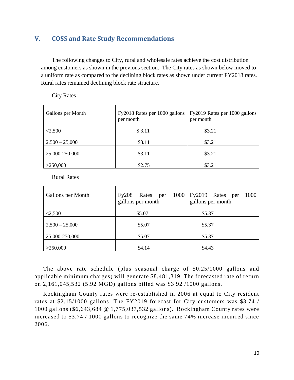# **V. COSS and Rate Study Recommendations**

The following changes to City, rural and wholesale rates achieve the cost distribution among customers as shown in the previous section. The City rates as shown below moved to a uniform rate as compared to the declining block rates as shown under current FY2018 rates. Rural rates remained declining block rate structure.

City Rates

| Gallons per Month | Fy2018 Rates per 1000 gallons<br>per month | Fy2019 Rates per 1000 gallons<br>per month |
|-------------------|--------------------------------------------|--------------------------------------------|
| < 2,500           | \$3.11                                     | \$3.21                                     |
| $2,500 - 25,000$  | \$3.11                                     | \$3.21                                     |
| 25,000-250,000    | \$3.11                                     | \$3.21                                     |
| >250,000          | \$2.75                                     | \$3.21                                     |

Rural Rates

| Gallons per Month | Fy208<br>Rates per<br>gallons per month | 1000   Fy2019 Rates per<br>1000<br>gallons per month |
|-------------------|-----------------------------------------|------------------------------------------------------|
| < 2,500           | \$5.07                                  | \$5.37                                               |
| $2,500 - 25,000$  | \$5.07                                  | \$5.37                                               |
| 25,000-250,000    | \$5.07                                  | \$5.37                                               |
| >250,000          | \$4.14                                  | \$4.43                                               |

The above rate schedule (plus seasonal charge of \$0.25/1000 gallons and applicable minimum charges) will generate \$8,481,319. The forecasted rate of return on 2,161,045,532 (5.92 MGD) gallons billed was \$3.92 /1000 gallons.

Rockingham County rates were re-established in 2006 at equal to City resident rates at \$2.15/1000 gallons. The FY2019 forecast for City customers was \$3.74 / 1000 gallons (\$6,643,684 @ 1,775,037,532 gallons). Rockingham County rates were increased to \$3.74 / 1000 gallons to recognize the same 74% increase incurred since 2006.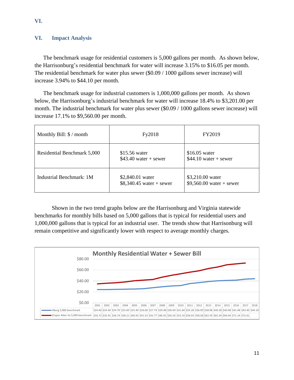#### **VI. Impact Analysis**

The benchmark usage for residential customers is 5,000 gallons per month. As shown below, the Harrisonburg's residential benchmark for water will increase 3.15% to \$16.05 per month. The residential benchmark for water plus sewer (\$0.09 / 1000 gallons sewer increase) will increase 3.94% to \$44.10 per month.

The benchmark usage for industrial customers is 1,000,000 gallons per month. As shown below, the Harrisonburg's industrial benchmark for water will increase 18.4% to \$3,201.00 per month. The industrial benchmark for water plus sewer (\$0.09 / 1000 gallons sewer increase) will increase 17.1% to \$9,560.00 per month.

| Monthly Bill: \$ / month    | Fy2018                                        | FY2019                                        |  |
|-----------------------------|-----------------------------------------------|-----------------------------------------------|--|
| Residential Benchmark 5,000 | $$15.56$ water<br>$$43.40$ water + sewer      | $$16.05$ water<br>$$44.10$ water + sewer      |  |
| Industrial Benchmark: 1M    | \$2,840.01 water<br>$$8,340.45$ water + sewer | \$3,210.00 water<br>$$9,560.00$ water + sewer |  |

Shown in the two trend graphs below are the Harrisonburg and Virginia statewide benchmarks for monthly bills based on 5,000 gallons that is typical for residential users and 1,000,000 gallons that is typical for an industrial user. The trends show that Harrisonburg will remain competitive and significantly lower with respect to average monthly charges.

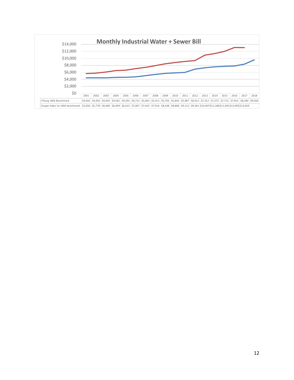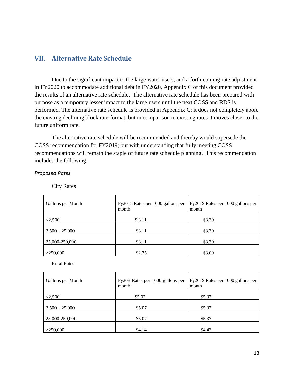### **VII. Alternative Rate Schedule**

Due to the significant impact to the large water users, and a forth coming rate adjustment in FY2020 to accommodate additional debt in FY2020, Appendix C of this document provided the results of an alternative rate schedule. The alternative rate schedule has been prepared with purpose as a temporary lesser impact to the large users until the next COSS and RDS is performed. The alternative rate schedule is provided in Appendix C; it does not completely abort the existing declining block rate format, but in comparison to existing rates it moves closer to the future uniform rate.

The alternative rate schedule will be recommended and thereby would supersede the COSS recommendation for FY2019; but with understanding that fully meeting COSS recommendations will remain the staple of future rate schedule planning. This recommendation includes the following:

*Proposed Rates*

City Rates

| Gallons per Month | Fy2018 Rates per 1000 gallons per<br>month | Fy2019 Rates per 1000 gallons per<br>month |
|-------------------|--------------------------------------------|--------------------------------------------|
| < 2,500           | \$ 3.11                                    | \$3.30                                     |
| $2,500 - 25,000$  | \$3.11                                     | \$3.30                                     |
| 25,000-250,000    | \$3.11                                     | \$3.30                                     |
| >250,000          | \$2.75                                     | \$3.00                                     |

Rural Rates

| Gallons per Month | Fy208 Rates per 1000 gallons per<br>month | Fy2019 Rates per 1000 gallons per<br>month |
|-------------------|-------------------------------------------|--------------------------------------------|
| < 2,500           | \$5.07                                    | \$5.37                                     |
| $2,500 - 25,000$  | \$5.07                                    | \$5.37                                     |
| 25,000-250,000    | \$5.07                                    | \$5.37                                     |
| >250,000          | \$4.14                                    | \$4.43                                     |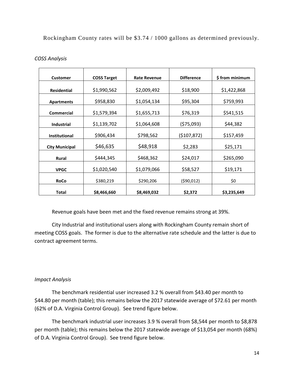#### Rockingham County rates will be \$3.74 / 1000 gallons as determined previously.

| <b>Customer</b>       | <b>COSS Target</b> | <b>Rate Revenue</b> | <b>Difference</b> | \$from minimum |
|-----------------------|--------------------|---------------------|-------------------|----------------|
| <b>Residential</b>    | \$1,990,562        | \$2,009,492         | \$18,900          | \$1,422,868    |
| <b>Apartments</b>     | \$958,830          | \$1,054,134         | \$95,304          | \$759,993      |
| <b>Commercial</b>     | \$1,579,394        | \$1,655,713         | \$76,319          | \$541,515      |
| <b>Industrial</b>     | \$1,139,702        | \$1,064,608         | (\$75,093)        | \$44,382       |
| <b>Institutional</b>  | \$906,434          | \$798,562           | (5107, 872)       | \$157,459      |
| <b>City Municipal</b> | \$46,635           | \$48,918            | \$2,283           | \$25,171       |
| <b>Rural</b>          | \$444,345          | \$468,362           | \$24,017          | \$265,090      |
| <b>VPGC</b>           | \$1,020,540        | \$1,079,066         | \$58,527          | \$19,171       |
| RoCo                  | \$380,219          | \$290,206           | (590, 012)        | \$0            |
| <b>Total</b>          | \$8,466,660        | \$8,469,032         | \$2,372           | \$3,235,649    |

#### *COSS Analysis*

Revenue goals have been met and the fixed revenue remains strong at 39%.

City Industrial and institutional users along with Rockingham County remain short of meeting COSS goals. The former is due to the alternative rate schedule and the latter is due to contract agreement terms.

#### *Impact Analysis*

The benchmark residential user increased 3.2 % overall from \$43.40 per month to \$44.80 per month (table); this remains below the 2017 statewide average of \$72.61 per month (62% of D.A. Virginia Control Group). See trend figure below.

The benchmark industrial user increases 3.9 % overall from \$8,544 per month to \$8,878 per month (table); this remains below the 2017 statewide average of \$13,054 per month (68%) of D.A. Virginia Control Group). See trend figure below.